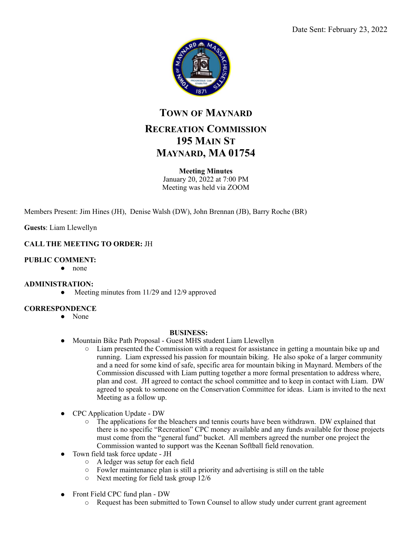

# **TOWN OF MAYNARD RECREATION COMMISSION 195 MAIN ST MAYNARD, MA 01754**

### **Meeting Minutes**

January 20, 2022 at 7:00 PM Meeting was held via ZOOM

Members Present: Jim Hines (JH), Denise Walsh (DW), John Brennan (JB), Barry Roche (BR)

**Guests**: Liam Llewellyn

### **CALL THE MEETING TO ORDER:** JH

#### **PUBLIC COMMENT:**

● none

#### **ADMINISTRATION:**

• Meeting minutes from 11/29 and 12/9 approved

#### **CORRESPONDENCE**

● None

#### **BUSINESS:**

- Mountain Bike Path Proposal Guest MHS student Liam Llewellyn
	- Liam presented the Commission with a request for assistance in getting a mountain bike up and running. Liam expressed his passion for mountain biking. He also spoke of a larger community and a need for some kind of safe, specific area for mountain biking in Maynard. Members of the Commission discussed with Liam putting together a more formal presentation to address where, plan and cost. JH agreed to contact the school committee and to keep in contact with Liam. DW agreed to speak to someone on the Conservation Committee for ideas. Liam is invited to the next Meeting as a follow up.
- CPC Application Update DW
	- The applications for the bleachers and tennis courts have been withdrawn. DW explained that there is no specific "Recreation" CPC money available and any funds available for those projects must come from the "general fund" bucket. All members agreed the number one project the Commission wanted to support was the Keenan Softball field renovation.
- Town field task force update JH
	- A ledger was setup for each field
	- Fowler maintenance plan is still a priority and advertising is still on the table
	- Next meeting for field task group 12/6
- Front Field CPC fund plan DW
	- Request has been submitted to Town Counsel to allow study under current grant agreement